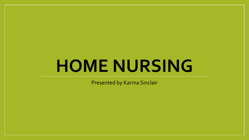# **HOME NURSING**

Presented by Karma Sinclair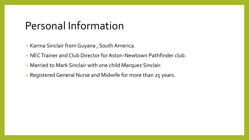### Personal Information

- Karma Sinclair from Guyana , South America.
- NEC Trainer and Club Director for Aston-Newtown Pathfinder club.
- Married to Mark Sinclair with one child Marquez Sinclair.
- Registered General Nurse and Midwife for more than 25 years.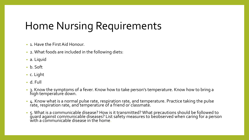### Home Nursing Requirements

- 1. Have the First Aid Honour.
- 2. What foods are included in the following diets:
- a. Liquid
- b. Soft
- c. Light
- d. Full
- 3. Know the symptoms of a fever. Know how to take person's temperature. Know how to bring a high temperature down.
- 4. Know what is a normal pulse rate, respiration rate, and temperature. Practice taking the pulse rate, respiration rate, and temperature of a friend or classmate.
- $\bullet$  5. What is a communicable disease? How is it transmitted? What precautions should be followed to guard against communicable diseases? List safety measures to beobserved when caring for a person  $\check{\text{w}}$ ith a communicable disease in the home.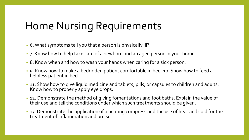### Home Nursing Requirements

- 6. What symptoms tell you that a person is physically ill?
- 7. Know how to help take care of a newborn and an aged person in your home.
- 8. Know when and how to wash your hands when caring for a sick person.
- 9. Know how to make a bedridden patient comfortable in bed. 10. Show how to feed a helpless patient in bed.
- 11. Show how to give liquid medicine and tablets, pills, or capsules to children and adults. Know how to properly apply eye drops.
- 12. Demonstrate the method of giving fomentations and foot baths. Explain the value of their use and tell the conditions under which such treatments should be given.
- 13. Demonstrate the application of a heating compress and the use of heat and cold for the treatment of inflammation and bruises.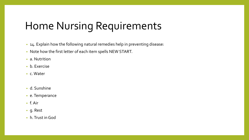### Home Nursing Requirements

- 14. Explain how the following natural remedies help in preventing disease:
- Note how the first letter of each item spells NEW START.
- a. Nutrition
- b. Exercise
- c. Water
- d. Sunshine
- e. Temperance
- f. Air
- g. Rest
- h. Trust in God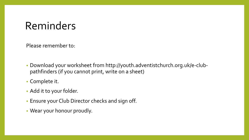## Reminders

Please remember to:

- Download your worksheet from http://youth.adventistchurch.org.uk/e-clubpathfinders (if you cannot print, write on a sheet)
- Complete it.
- Add it to your folder.
- Ensure your Club Director checks and sign off.
- Wear your honour proudly.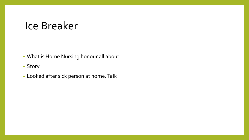#### Ice Breaker

- What is Home Nursing honour all about
- Story
- Looked after sick person at home. Talk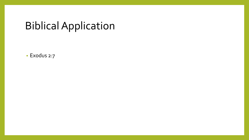## Biblical Application

• Exodus 2:7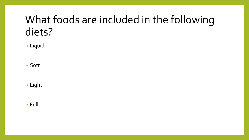## What foods are included in the following diets?

• Liquid

• Soft

• Light

• Full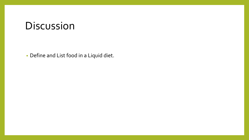#### Discussion

• Define and List food in a Liquid diet.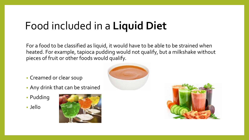## Food included in a **Liquid Diet**

For a food to be classified as liquid, it would have to be able to be strained when heated. For example, tapioca pudding would not qualify, but a milkshake without pieces of fruit or other foods would qualify.

- Creamed or clear soup
- Any drink that can be strained
- Pudding
- Jello





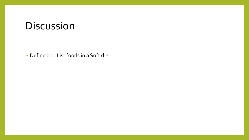#### Discussion

• Define and List foods in a Soft diet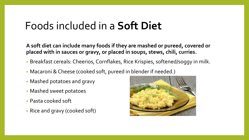### Foods included in a **Soft Diet**

**A soft diet can include many foods if they are mashed or pureed, covered or placed with in sauces or gravy, or placed in soups, stews, chili, curries.**

- Breakfast cereals: Cheerios, Cornflakes, Rice Krispies, softened/soggy in milk.
- Macaroni & Cheese (cooked soft, pureed in blender if needed.)
- Mashed potatoes and gravy
- Mashed sweet potatoes
- Pasta cooked soft
- Rice and gravy (cooked soft)

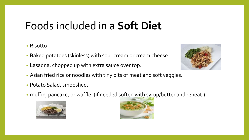## Foods included in a **Soft Diet**

#### • Risotto

- Baked potatoes (skinless) with sour cream or cream cheese
- Lasagna, chopped up with extra sauce over top.
- Asian fried rice or noodles with tiny bits of meat and soft veggies.
- Potato Salad, smooshed.
- muffin, pancake, or waffle. (if needed soften with syrup/butter and reheat.)





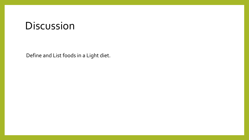#### Discussion

Define and List foods in a Light diet.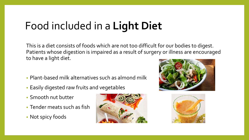## Food included in a **Light Diet**

This is a diet consists of foods which are not too difficult for our bodies to digest. Patients whose digestion is impaired as a result of surgery or illness are encouraged to have a light diet.

- Plant-based milk alternatives such as almond milk
- Easily digested raw fruits and vegetables
- Smooth nut butter
- Tender meats such as fish
- Not spicy foods





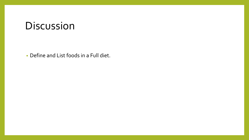#### Discussion

• Define and List foods in a Full diet.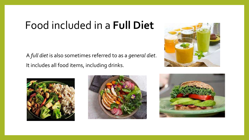## Food included in a **Full Diet**

A *full diet* is also sometimes referred to as a *general diet*. It includes all food items, including drinks.







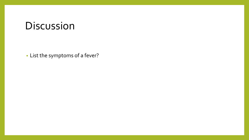#### Discussion

• List the symptoms of a fever?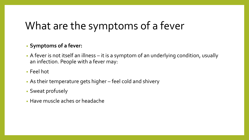## What are the symptoms of a fever

#### • **Symptoms of a fever:**

- A fever is not itself an illness it is a symptom of an underlying condition, usually an infection. People with a fever may:
- Feel hot
- As their temperature gets higher feel cold and shivery
- Sweat profusely
- Have muscle aches or headache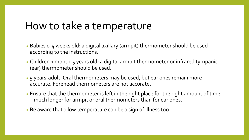#### How to take a temperature

- Babies 0-4 weeks old: a digital axillary (armpit) thermometer should be used according to the instructions.
- Children 1 month-5 years old: a digital armpit thermometer or infrared tympanic (ear) thermometer should be used.
- 5 years-adult: Oral thermometers may be used, but ear ones remain more accurate. Forehead thermometers are not accurate.
- Ensure that the thermometer is left in the right place for the right amount of time – much longer for armpit or oral thermometers than for ear ones.
- Be aware that a low temperature can be a sign of illness too.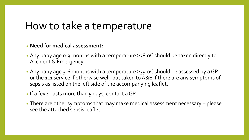#### How to take a temperature

#### • **Need for medical assessment:**

- Any baby age 0-3 months with a temperature ≥38.0C should be taken directly to Accident & Emergency.
- Any baby age 3-6 months with a temperature ≥39.0C should be assessed by a GP or the 111 service if otherwise well, but taken to A&E if there are any symptoms of sepsis as listed on the left side of the accompanying leaflet.
- If a fever lasts more than 5 days, contact a GP.
- There are other symptoms that may make medical assessment necessary please see the attached sepsis leaflet.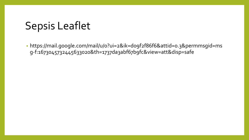## Sepsis Leaflet

• https://mail.google.com/mail/u/0?ui=2&ik=d09f2f86f6&attid=0.3&permmsgid=ms g-f:1673045732445633020&th=1737da3abf67b9fc&view=att&disp=safe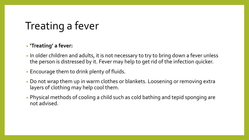## Treating a fever

#### • **'Treating' a fever:**

- In older children and adults, it is not necessary to try to bring down a fever unless the person is distressed by it. Fever may help to get rid of the infection quicker.
- Encourage them to drink plenty of fluids.
- Do not wrap them up in warm clothes or blankets. Loosening or removing extra layers of clothing may help cool them.
- Physical methods of cooling a child such as cold bathing and tepid sponging are not advised.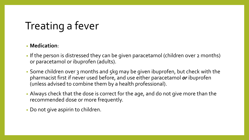## Treating a fever

#### • **Medication**:

- If the person is distressed they can be given paracetamol (children over 2 months) or paracetamol or ibuprofen (adults).
- Some children over 3 months and 5kg may be given ibuprofen, but check with the pharmacist first if never used before, and use either paracetamol *or* ibuprofen (unless advised to combine them by a health professional).
- Always check that the dose is correct for the age, and do not give more than the recommended dose or more frequently.
- Do not give aspirin to children.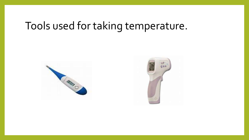## Tools used for taking temperature.



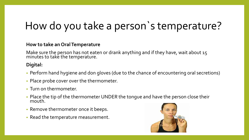## How do you take a person`s temperature?

#### **How to take an Oral Temperature**

Make sure the person has not eaten or drank anything and if they have, wait about 15 minutes to take the temperature.

#### **Digital:**

- Perform hand hygiene and don gloves (due to the chance of encountering oral secretions)
- Place probe cover over the thermometer.
- Turn on thermometer.
- Place the tip of the thermometer UNDER the tongue and have the person close their mouth.
- Remove thermometer once it beeps.
- Read the temperature measurement.

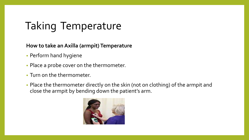## Taking Temperature

**How to take an Axilla (armpit) Temperature**

- Perform hand hygiene
- Place a probe cover on the thermometer.
- Turn on the thermometer.
- Place the thermometer directly on the skin (not on clothing) of the armpit and close the armpit by bending down the patient's arm.

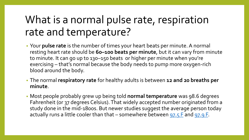## What is a normal pulse rate, respiration rate and temperature?

- Your **pulse rate** is the number of times your heart beats per minute. A normal resting heart rate should be **60–100 beats per minute**, but it can vary from minute to minute. It can go up to 130–150 beats or higher per minute when you're exercising – that's normal because the body needs to pump more oxygen-rich blood around the body.
- The normal **respiratory rate** for healthy adults is between **12 and 20 breaths per minute**.
- Most people probably grew up being told **normal temperature** was 98.6 degrees Fahrenheit (or 37 degrees Celsius). That widely accepted number originated from a study done in the mid-1800s. But newer studies suggest the average person today actually runs a little cooler than that – somewhere between [97.5 F](https://elifesciences.org/articles/49555) and [97.9 F.](https://www.ncbi.nlm.nih.gov/pmc/articles/PMC6456186/)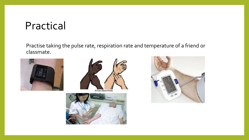#### Practical

Practise taking the pulse rate, respiration rate and temperature of a friend or classmate.





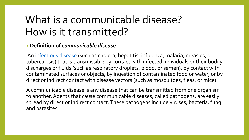## What is a communicable disease? How is it transmitted?

#### • **Definition of** *communicable disease*

An [infectious disease](https://www.merriam-webster.com/dictionary/infectious%20disease) (such as cholera, hepatitis, influenza, malaria, measles, or tuberculosis) that is transmissible by contact with infected individuals or their bodily discharges or fluids (such as respiratory droplets, blood, or semen), by contact with contaminated surfaces or objects, by ingestion of contaminated food or water, or by direct or indirect contact with disease vectors (such as mosquitoes, fleas, or mice)

A communicable disease is any disease that can be transmitted from one organism to another. Agents that cause communicable diseases, called pathogens, are easily spread by direct or indirect contact. These pathogens include viruses, bacteria, fungi and parasites.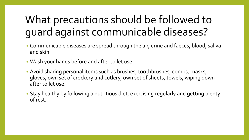## What precautions should be followed to guard against communicable diseases?

- Communicable diseases are spread through the air, urine and faeces, blood, saliva and skin
- Wash your hands before and after toilet use
- Avoid sharing personal items such as brushes, toothbrushes, combs, masks, gloves, own set of crockery and cutlery, own set of sheets, towels, wiping down after toilet use.
- Stay healthy by following a nutritious diet, exercising regularly and getting plenty of rest.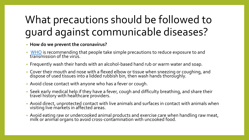## What precautions should be followed to guard against communicable diseases?

- **How do we prevent the coronavirus?**
- [WHO](https://www.who.int/) is recommending that people take simple precautions to reduce exposure to and  $t$ ransmission of the virus.
- Frequently wash their hands with an alcohol-based hand rub or warm water and soap.
- Cover their mouth and nose with a flexed elbow or tissue when sneezing or coughing, and dispose of used tissues into a lidded rubbish bin, then wash hands thoroughly.
- Avoid close contact with anyone who has a fever or cough.
- Seek early medical help if they have a fever, cough and difficulty breathing, and share their travel history with healthcare´providers.
- Avoid direct, unprotected contact with live animals and surfaces in contact with animals when visiting live markets in affected areas.
- Avoid eating raw or undercooked animal products and exercise care when handling raw meat, milk or animal organs to avoid cross-contamination with uncooked food.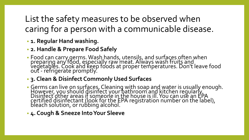List the safety measures to be observed when caring for a person with a communicable disease.

- **1. Regular Hand washing.**
- **2. Handle & Prepare Food Safely**
- Food can carry germs. Wash hands, utensils, and surfaces often when preparing any food, especially raw meat. Always wash fruits and vegetables. Cook and keep foods at proper temperatures. Don't leave food out - refrigerate promptly.
- **3. Clean & Disinfect Commonly Used Surfaces**
- Germs can live on surfaces. Cleaning with soap and water is usually enough. However, you should disinfect your bathroom and kitchen regularly. Disinfect other areas if someone in the house is ill. You can use an EPA certified disinfectant (look for the EPA registration number on the label), bleach solution, or rubbing alcohol.
- **4. Cough & Sneeze Into Your Sleeve**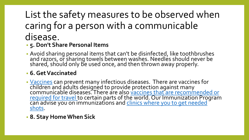### List the safety measures to be observed when caring for a person with a communicable disease.

#### • **5. Don't Share Personal Items**

• Avoid sharing personal items that can't be disinfected, like toothbrushes and razors, or sharing towels between washes. Needles should never be shared, should only be used once, and then thrown away properly.

#### • **6. Get Vaccinated**

• [Vaccines](http://www.cdc.gov/vaccines/) can prevent many infectious diseases. There are vaccines for children and adults designed to provide protection against many [communicable diseases. There are also vaccines that are recommended or](http://wwwnc.cdc.gov/travel/) required for travel to certain parts of the world. Our Immunization Program [can advise you on immunizations and clinics where you to get needed](http://www.acphd.org/clinics.aspx)  shots.

#### • **8. Stay Home When Sick**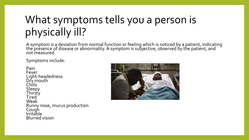## What symptoms tells you a person is physically ill?

A symptom is a deviation from normal function or feeling which is noticed by a patient, indicating the presence of disease or abnormality. A symptom is subjective, observed by the patient, and not measured.

Symptoms include:

Pain Fever Light-headedness Dry mouth Chills Sleepy **Thirsty** Tired Weak Runny nose, mucus production Cough **Irritable** Blurred vision

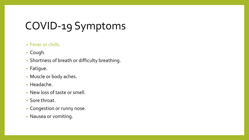## COVID-19 Symptoms

#### • Fever or chills.

- Cough.
- Shortness of breath or difficulty breathing.
- Fatigue.
- Muscle or body aches.
- Headache.
- New loss of taste or smell.
- Sore throat.
- Congestion or runny nose.
- Nausea or vomiting.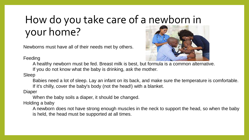## How do you take care of a newborn in your home?

Newborns must have all of their needs met by others.



Feeding

A healthy newborn must be fed. Breast milk is best, but formula is a common alternative.

If you do not know what the baby is drinking, ask the mother.

Sleep

Babies need a lot of sleep. Lay an infant on its back, and make sure the temperature is comfortable. If it's chilly, cover the baby's body (not the head!) with a blanket.

Diaper

When the baby soils a diaper, it should be changed.

Holding a baby

A newborn does not have strong enough muscles in the neck to support the head, so when the baby is held, the head must be supported at all times.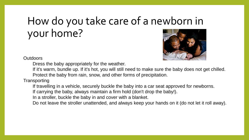## How do you take care of a newborn in your home?



**Outdoors** 

Dress the baby appropriately for the weather.

If it's warm, bundle up. If it's hot, you will still need to make sure the baby does not get chilled. Protect the baby from rain, snow, and other forms of precipitation.

**Transporting** 

If travelling in a vehicle, securely buckle the baby into a car seat approved for newborns.

If carrying the baby, always maintain a firm hold (don't drop the baby!).

In a stroller, buckle the baby in and cover with a blanket.

Do not leave the stroller unattended, and always keep your hands on it (do not let it roll away).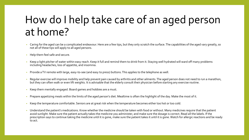## How do I help take care of an aged person at home?

- Caring for the aged can be a complicated endeavour. Here are a few tips, but they only scratch the surface. The capabilities of the aged vary greatly, so not all of these tips will apply to all aged persons.
- Help them feel safe and secure.
- Keep a light pitcher of water within easy reach. Keep it full and remind them to drink from it. Staying well hydrated will ward off many problems including headaches, loss of appetite, and insomnia.
- Provide a TV remote with large, easy-to-see (and easy to press) buttons. This applies to the telephone as well.
- Regular exercise will improve mobility and help prevent pain caused by arthritis and other ailments. The aged person does not need to run a marathon, but they can often walk or even lift weights. It is advisable that the elderly consult their physician before starting any exercise routine.
- Keep them mentally engaged. Board games and hobbies are a must.
- Prepare appetizing meals within the limits of the aged person's diet. Mealtime is often the highlight of the day. Make the most of it.
- Keep the temperature comfortable. Seniors are at great risk when the temperature becomes either too hot or too cold.
- Understand the patient's medications. Know whether the medicine should be taken with food or without. Many medicines require that the patient avoid sunlight. Make sure the patient actually takes the medicine you administer, and make sure the dosage is correct. Read all the labels. If the prescription says to continue taking the medicine until it is gone, make sure the patient takes it until it is gone. Watch for allergic reactions and be ready to act.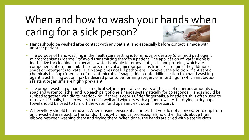## When and how to wash your hands when caring for a sick person?

- Hands should be washed after contact with any patient, and especially before contact is made with another patient.
- The purpose of hand washing in the health care setting is to remove or destroy (disinfect) pathogenic microorganisms ("germs") to avoid transmitting them to a patient. The application of water alone is ineffective for cleaning skin <u>b</u>ecause water is unable to remove fats, oils, and proteins, which are components of organic soil. Therefore, removal of microorganisms from skin requires the addition of soaps or detergents to water. Plain soap does not kill pathogens. However, the addition of antiseptic chemicals to sõap ("medicated" or "antimicrobial" soaps) does confer killing action to a hand washing agent. Such killing action may be desired prior to performing surgery or in settings in which antibioticresistant organisms are highly prevalent.
- The proper washing of hands in a medical setting generally consists of the use of generous amounts of soap and water to lather and rub each part of one`s hands systematically for 20 seconds. Hands should be rubbed together with digits interlocking. If there is debris under fingernáils, a bristle brush is often used to remove it. Finally, it is necessary to rinse well and wipe dry with a paper towel. After drying, a dry paper towel should be used to turn off the water (and open any exit door if necessary).
- All jewellery should be removed. When rinsing, ensure at all times that you do not allow water to drip from an unwashéd area back to the hands. This is why medical professionals hold their hands above their elbows between washing them and drying them. When done, the hands are dried with a sterile cloth.  $\,$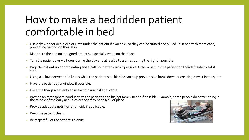## How to make a bedridden patient comfortable in bed

- Use a draw sheet or a piece of cloth under the patient if available, so they can be turned and pulled up in bed with more ease, preventing friction on their skin.
- Make sure the person is aligned properly, especially when on their back.
- Turn the patient every 2 hours during the day and at least 1 to 2 times during the night if possible.
- Prop the patient up prior to eating and a half hour afterwards if possible. Otherwise turn the patient on their left side to eat if able.
- Using a pillow between the knees while the patient is on his side can help prevent skin break down or creating a twist in the spine.
- Have the patient by a window if possible.
- Have the things a patient can use within reach if applicable.
- Provide an atmosphere conducive to the patient's and his/her family needs if possible. Example, some people do better being in the middle of the daily activities or they may need a quiet place.
- Provide adequate nutrition and fluids if applicable.
- Keep the patient clean.
- Be respectful of the patient's dignity.

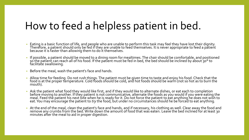### How to feed a helpless patient in bed.

- Eating is a basic function of life, and people who are unable to perform this task may feel they have lost their dignity. Therefore, a patient should only be fed if they are unable to feed themselves. It is néver apprópriate to feed a pătient because it is faster than allowing them to do it themselves.
- If possible, a patient should be moved to a dining room for mealtimes. The chair should be comfortable, and positioned so the patient can reach all of his food. If the patient must be fed in bed, the bed should be inclined by about 30° to facilitate swallowing.
- Before the meal, wash the patient's face and hands.
- Allow time for feeding. Do not rush things. The patient must be given time to taste and enjoy his food. Check that the food is at the proper temperature. Cold foods should be cold, and hot foods should be warm (not so hot as to burn the mouth).
- Ask the patient what food they would like first, and if they would like to alternate dishes, or eat each to completion before moving to another. If they patient is not communicative, alternate the foods as you would if you were eating the meal. Feed the patient his next bite when he is ready for it. Do not force the patient to eat anything he does not wish to eat. You may encourage the patient to *try* the food, but under no circumstances should he be forced to eat anything.
- At the end of the meal, clean the patient's face and hands, and if necessary, his clothing as well. Clear away the food and remove any crumbs from the bed. Write down the amount of food that was eaten. Leave the bed inclined for at least 30 minutes after the meal to aid in proper digestion.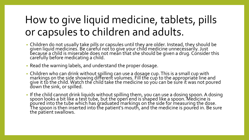## How to give liquid medicine, tablets, pills or capsules to children and adults.

- Children do not usually take pills or capsules until they are older. Instead, they should be given liquid medicines. Be careful not to give your child medicine unnecessarily. Just because a child is miserable does not mean that she should be given a drug. Cónsider this carefully before medicating a child.
- Read the warning labels, and understand the proper dosage.
- Children who can drink without spilling can use a dosage cup. This is a small cup with markings on the side showing different volumes. Fill the cup to the appropriate line and give it to the child. Watch the child take the medicine so you can be sure it was not poured down the sink, or spilled.
- If the child cannot drink liquids without spilling them, you can use a dosing spoon. A dosing spoon looks a bit like a test tube, but the open end is shaped like a spoon. Medicine is poured into the tube which has graduated markings on the side for measuring the dose. The spoon is then inserted into the patient's mouth, and the medicine is poured in. Be sure the patient swallows.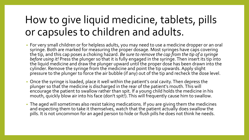## How to give liquid medicine, tablets, pills or capsules to children and adults.

- For very small children or for helpless adults, you may need to use a medicine dropper or an oral syringe. Both are marked for measuring the proper dosage. Most syringes have caps covering the tip, and this cap poses a choking hazard. *Be sure to remove the cap from the tip of a syringe before using it!* Press the plunger so that it is fully engaged in the syringe. Then insert its tip into the liquid medicine and draw the plunger upward until the proper dose has been drawn into the cylinder. Remove the syringe from the medicine and point the tip upwards. Apply slight pressure to the plunger to force the air bubble (if any) out of the tip and recheck the dose level.
- Once the syringe is loaded, place it well within the patient's oral cavity. Then depress the plunger so that the medicine is discharged in the rear of the patient's mouth. This will encourage the patient to swallow rather than spit. If a young child holds the medicine in his mouth, quickly blow air into his face (don't spit!). This will frequently cause him to swallow.
- The aged will sometimes also resist taking medications. If you are giving them the medicines and expecting them to take it themselves, watch that the patient actually does swallow the pills. It is not uncommon for an aged person to hide or flush pills he does not think he needs.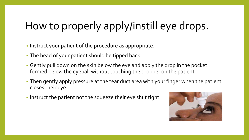## How to properly apply/instill eye drops.

- Instruct your patient of the procedure as appropriate.
- The head of your patient should be tipped back.
- Gently pull down on the skin below the eye and apply the drop in the pocket formed below the eyeball without touching the dropper on the patient.
- Then gently apply pressure at the tear duct area with your finger when the patient closes their eye.
- Instruct the patient not the squeeze their eye shut tight.

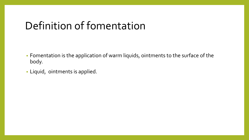### Definition of fomentation

- Fomentation is the application of warm liquids, ointments to the surface of the body.
- Liquid, ointments is applied.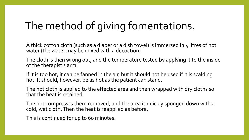## The method of giving fomentations.

A thick cotton cloth (such as a diaper or a dish towel) is immersed in 4 litres of hot water (the water may be mixed with a decoction).

The cloth is then wrung out, and the temperature tested by applying it to the inside of the therapist's arm.

If it is too hot, it can be fanned in the air, but it should not be used if it is scalding hot. It should, however, be as hot as the patient can stand.

The hot cloth is applied to the effected area and then wrapped with dry cloths so that the heat is retained.

The hot compress is them removed, and the area is quickly sponged down with a cold, wet cloth. Then the heat is reapplied as before.

This is continued for up to 60 minutes.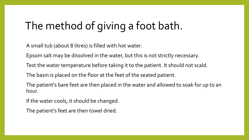## The method of giving a foot bath.

A small tub (about 8 litres) is filled with hot water.

Epsom salt may be dissolved in the water, but this is not strictly necessary.

Test the water temperature before taking it to the patient. It should not scald.

The basin is placed on the floor at the feet of the seated patient.

The patient's bare feet are then placed in the water and allowed to soak for up to an hour.

If the water cools, it should be changed.

The patient's feet are then towel dried.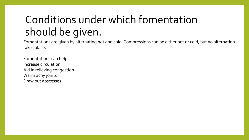## Conditions under which fomentation should be given.

Fomentations are given by alternating hot and cold. Compressions can be either hot or cold, but no alternation takes place.

Fomentations can help Increase circulation Aid in relieving congestion Warm achy joints Draw out abscesses.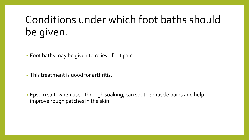## Conditions under which foot baths should be given.

• Foot baths may be given to relieve foot pain.

• This treatment is good for arthritis.

• Epsom salt, when used through soaking, can soothe muscle pains and help improve rough patches in the skin.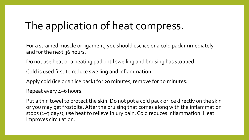## The application of heat compress.

For a strained muscle or ligament, you should use ice or a cold pack immediately and for the next 36 hours.

Do not use heat or a heating pad until swelling and bruising has stopped.

Cold is used first to reduce swelling and inflammation.

Apply cold (ice or an ice pack) for 20 minutes, remove for 20 minutes.

Repeat every 4–6 hours.

Put a thin towel to protect the skin. Do not put a cold pack or ice directly on the skin or you may get frostbite. After the bruising that comes along with the inflammation stops (1–3 days), use heat to relieve injury pain. Cold reduces inflammation. Heat improves circulation.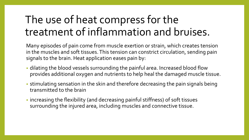## The use of heat compress for the treatment of inflammation and bruises.

Many episodes of pain come from muscle exertion or strain, which creates tension in the muscles and soft tissues. This tension can constrict circulation, sending pain signals to the brain. Heat application eases pain by:

- dilating the blood vessels surrounding the painful area. Increased blood flow provides additional oxygen and nutrients to help heal the damaged muscle tissue.
- stimulating sensation in the skin and therefore decreasing the pain signals being transmitted to the brain
- increasing the flexibility (and decreasing painful stiffness) of soft tissues surrounding the injured area, including muscles and connective tissue.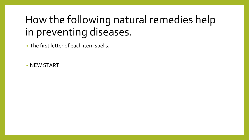## How the following natural remedies help in preventing diseases.

• The first letter of each item spells.

• NEW START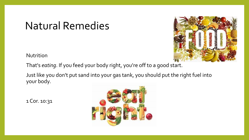Nutrition

That's *eating*. If you feed your body right, you're off to a good start.

Just like you don't put sand into your gas tank, you should put the right fuel into your body.

1 Cor. 10:31



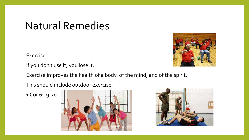Exercise

If you don't use it, you lose it.

Exercise improves the health of a body, of the mind, and of the spirit.

This should include outdoor exercise.

1 Cor 6:19-20





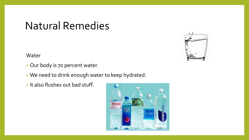Water

- Our body is 70 percent water.
- We need to drink enough water to keep hydrated.
- It also flushes out bad stuff.



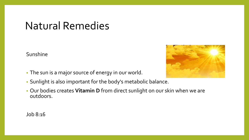Sunshine

- The sun is a major source of energy in our world.
- Sunlight is also important for the body's metabolic balance.
- Our bodies creates **Vitamin D** from direct sunlight on our skin when we are outdoors.



Job 8:16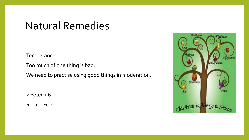**Temperance** 

Too much of one thing is bad.

We need to practise using good things in moderation.

2 Peter 1:6

Rom 12:1-2

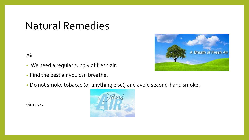Air

- We need a regular supply of fresh air.
- Find the best air you can breathe.
- Do not smoke tobacco (or anything else), and avoid second-hand smoke.

Gen 2:7



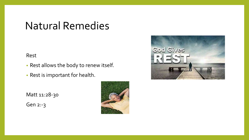#### Rest

- Rest allows the body to renew itself.
- Rest is important for health.

Matt 11:28-30

Gen 2:-3



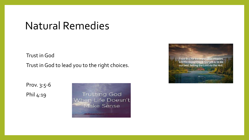Trust in God

Trust in God to lead you to the right choices.

Prov. 3:5-6 Phil 4:19

**Trusting God** When Life Doesn't Make Sense